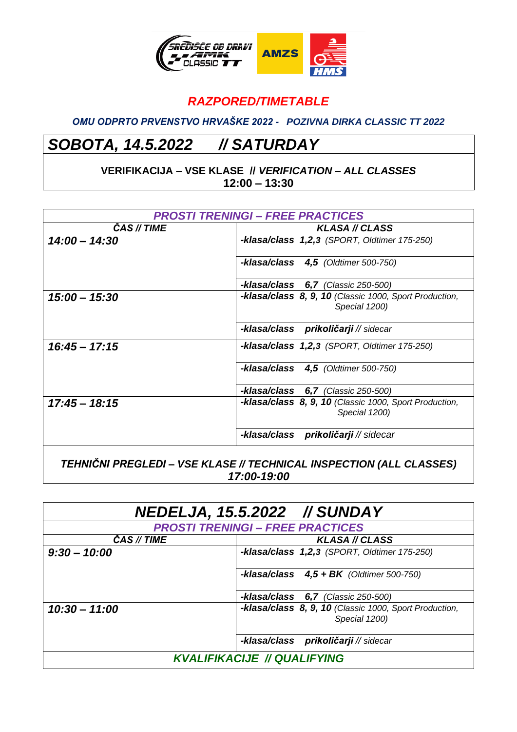

## *RAZPORED/TIMETABLE*

*OMU ODPRTO PRVENSTVO HRVAŠKE 2022 - POZIVNA DIRKA CLASSIC TT 2022*

## *SOBOTA, 14.5.2022 // SATURDAY*

## **VERIFIKACIJA – VSE KLASE //** *VERIFICATION – ALL CLASSES* **12:00 – 13:30**

| <b>PROSTI TRENINGI - FREE PRACTICES</b> |                                                                                |
|-----------------------------------------|--------------------------------------------------------------------------------|
| CAS // TIME                             | <b>KLASA // CLASS</b>                                                          |
| $14:00 - 14:30$                         | -klasa/class 1,2,3 (SPORT, Oldtimer 175-250)                                   |
|                                         | -klasa/class $4,5$ (Oldtimer 500-750)                                          |
|                                         | -klasa/class $6,7$ (Classic 250-500)                                           |
| $15:00 - 15:30$                         | -klasa/class 8, 9, 10 (Classic 1000, Sport Production,<br>Special 1200)        |
|                                         | -klasa/class prikoličarji // sidecar                                           |
| $16:45 - 17:15$                         | -klasa/class $1,2,3$ (SPORT, Oldtimer 175-250)                                 |
|                                         | -klasa/class $4,5$ (Oldtimer 500-750)                                          |
|                                         | -klasa/class $6,7$ (Classic 250-500)                                           |
| $17:45 - 18:15$                         | <b>-klasa/class 8, 9, 10</b> (Classic 1000, Sport Production,<br>Special 1200) |
|                                         | -klasa/class prikoličarji // sidecar                                           |
|                                         |                                                                                |

*TEHNIČNI PREGLEDI – VSE KLASE // TECHNICAL INSPECTION (ALL CLASSES) 17:00-19:00*

|                                         | <b>NEDELJA, 15.5.2022 // SUNDAY</b>                                     |  |
|-----------------------------------------|-------------------------------------------------------------------------|--|
| <b>PROSTI TRENINGI - FREE PRACTICES</b> |                                                                         |  |
| CAS // TIME                             | <b>KLASA // CLASS</b>                                                   |  |
| $9:30 - 10:00$                          | -klasa/class 1,2,3 (SPORT, Oldtimer 175-250)                            |  |
|                                         | -klasa/class $4.5 + BK$ (Oldtimer 500-750)                              |  |
|                                         | -klasa/class $6,7$ (Classic 250-500)                                    |  |
| $10:30 - 11:00$                         | -klasa/class 8, 9, 10 (Classic 1000, Sport Production,<br>Special 1200) |  |
|                                         | -klasa/class prikoličarji // sidecar                                    |  |
| <b>KVALIFIKACIJE // QUALIFYING</b>      |                                                                         |  |